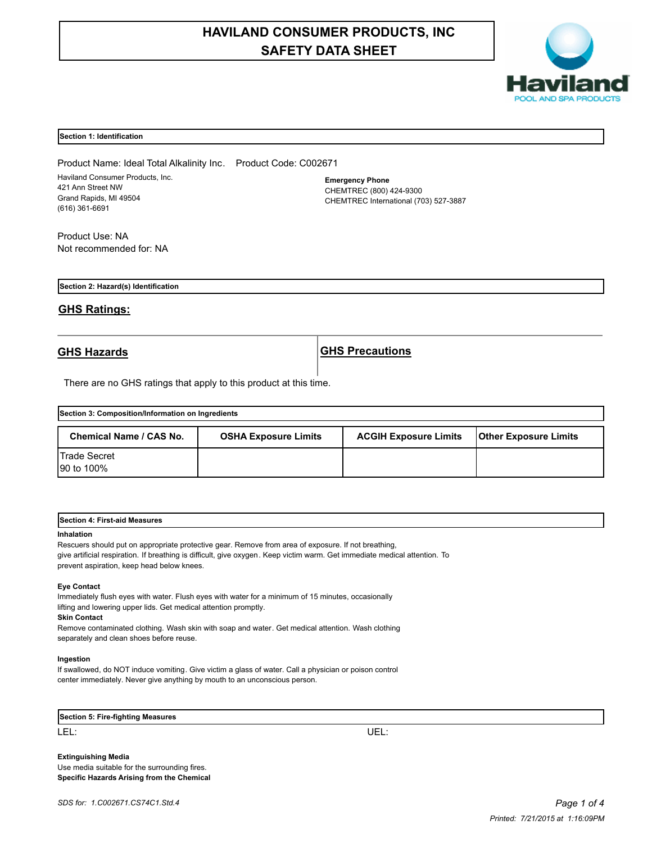# **HAVILAND CONSUMER PRODUCTS, INC SAFETY DATA SHEET**



### **Section 1: Identification**

Product Name: Ideal Total Alkalinity Inc. Product Code: C002671 Haviland Consumer Products, Inc. 421 Ann Street NW Grand Rapids, MI 49504 (616) 361-6691

**Emergency Phone** CHEMTREC (800) 424-9300 CHEMTREC International (703) 527-3887

Product Use: NA Not recommended for: NA

**Section 2: Hazard(s) Identification**

# **GHS Ratings:**

**GHS Hazards GHS Precautions**

There are no GHS ratings that apply to this product at this time.

| Section 3: Composition/Information on Ingredients |                             |                              |                              |  |
|---------------------------------------------------|-----------------------------|------------------------------|------------------------------|--|
| Chemical Name / CAS No.                           | <b>OSHA Exposure Limits</b> | <b>ACGIH Exposure Limits</b> | <b>Other Exposure Limits</b> |  |
| <b>Trade Secret</b><br>90 to 100%                 |                             |                              |                              |  |

| <b>Section</b><br>First-aid<br>Measures<br>. |  |  |
|----------------------------------------------|--|--|
|                                              |  |  |

#### **Inhalation**

Rescuers should put on appropriate protective gear. Remove from area of exposure. If not breathing, give artificial respiration. If breathing is difficult, give oxygen. Keep victim warm. Get immediate medical attention. To prevent aspiration, keep head below knees.

#### **Eye Contact**

Immediately flush eyes with water. Flush eyes with water for a minimum of 15 minutes, occasionally lifting and lowering upper lids. Get medical attention promptly.

### **Skin Contact**

Remove contaminated clothing. Wash skin with soap and water. Get medical attention. Wash clothing separately and clean shoes before reuse.

#### **Ingestion**

If swallowed, do NOT induce vomiting. Give victim a glass of water. Call a physician or poison control center immediately. Never give anything by mouth to an unconscious person.

| Section 5: Fire-fighting Measures |  |
|-----------------------------------|--|
| LEL.                              |  |

**Extinguishing Media** Use media suitable for the surrounding fires. **Specific Hazards Arising from the Chemical**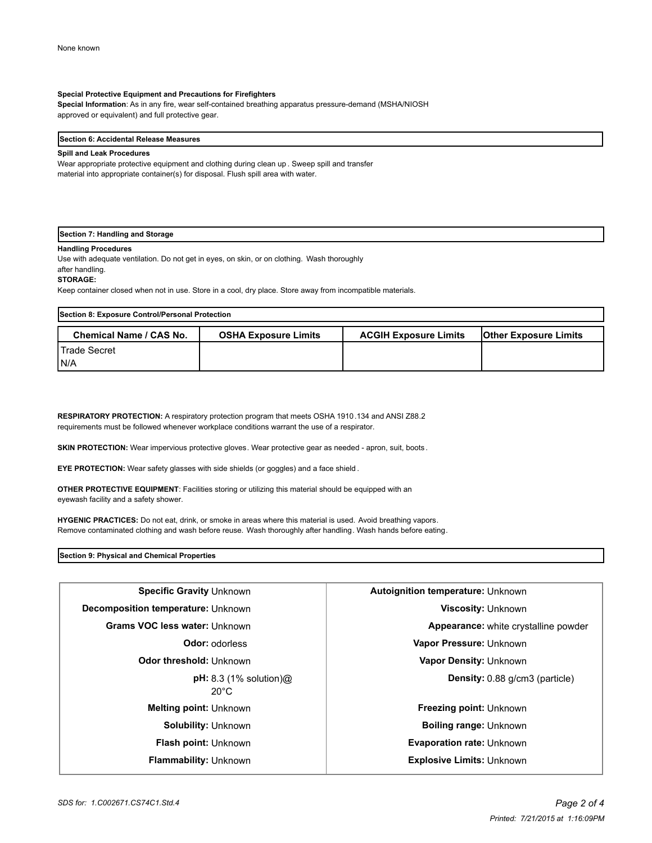### **Special Protective Equipment and Precautions for Firefighters**

**Special Information**: As in any fire, wear self-contained breathing apparatus pressure-demand (MSHA/NIOSH approved or equivalent) and full protective gear.

#### **Section 6: Accidental Release Measures**

#### **Spill and Leak Procedures**

Wear appropriate protective equipment and clothing during clean up . Sweep spill and transfer material into appropriate container(s) for disposal. Flush spill area with water.

# **Section 7: Handling and Storage**

#### **Handling Procedures**

Use with adequate ventilation. Do not get in eyes, on skin, or on clothing. Wash thoroughly after handling.

#### **STORAGE:**

Keep container closed when not in use. Store in a cool, dry place. Store away from incompatible materials.

| Section 8: Exposure Control/Personal Protection |                             |                              |                              |  |
|-------------------------------------------------|-----------------------------|------------------------------|------------------------------|--|
| <b>Chemical Name / CAS No.</b>                  | <b>OSHA Exposure Limits</b> | <b>ACGIH Exposure Limits</b> | <b>Other Exposure Limits</b> |  |
| <b>I</b> Trade Secret                           |                             |                              |                              |  |
| IN/A                                            |                             |                              |                              |  |

**RESPIRATORY PROTECTION:** A respiratory protection program that meets OSHA 1910.134 and ANSI Z88.2 requirements must be followed whenever workplace conditions warrant the use of a respirator.

**SKIN PROTECTION:** Wear impervious protective gloves. Wear protective gear as needed - apron, suit, boots.

**EYE PROTECTION:** Wear safety glasses with side shields (or goggles) and a face shield .

**OTHER PROTECTIVE EQUIPMENT**: Facilities storing or utilizing this material should be equipped with an eyewash facility and a safety shower.

**HYGENIC PRACTICES:** Do not eat, drink, or smoke in areas where this material is used. Avoid breathing vapors. Remove contaminated clothing and wash before reuse. Wash thoroughly after handling. Wash hands before eating.

**Section 9: Physical and Chemical Properties**

| Specific Gravity Unknown                                    | Autoignition temperature: Unknown           |  |
|-------------------------------------------------------------|---------------------------------------------|--|
| Decomposition temperature: Unknown                          | <b>Viscosity: Unknown</b>                   |  |
| Grams VOC less water: Unknown                               | <b>Appearance:</b> white crystalline powder |  |
| <b>Odor:</b> odorless                                       | Vapor Pressure: Unknown                     |  |
| Odor threshold: Unknown                                     | Vapor Density: Unknown                      |  |
| $pH: 8.3$ (1% solution) $@$<br>$20^{\circ}$ C               | <b>Density:</b> 0.88 g/cm3 (particle)       |  |
| <b>Melting point: Unknown</b>                               | <b>Freezing point: Unknown</b>              |  |
| <b>Solubility: Unknown</b><br><b>Boiling range: Unknown</b> |                                             |  |
| <b>Flash point: Unknown</b>                                 | <b>Evaporation rate: Unknown</b>            |  |
| <b>Flammability: Unknown</b>                                | <b>Explosive Limits: Unknown</b>            |  |
|                                                             |                                             |  |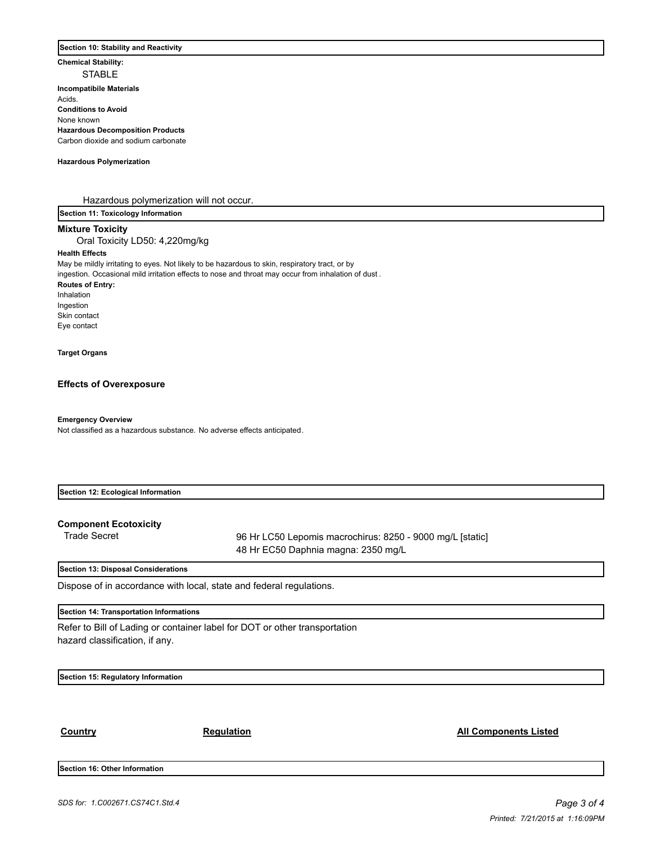#### **Section 10: Stability and Reactivity**

**Chemical Stability:**

STABLE **Incompatibile Materials Acids Conditions to Avoid** None known **Hazardous Decomposition Products** Carbon dioxide and sodium carbonate

#### **Hazardous Polymerization**

Hazardous polymerization will not occur.

**Section 11: Toxicology Information**

# **Mixture Toxicity**

Oral Toxicity LD50: 4,220mg/kg

# **Health Effects**

May be mildly irritating to eyes. Not likely to be hazardous to skin, respiratory tract, or by ingestion. Occasional mild irritation effects to nose and throat may occur from inhalation of dust .

#### **Routes of Entry:**

Inhalation Ingestion Skin contact Eye contact

## **Target Organs**

#### **Effects of Overexposure**

**Emergency Overview**

Not classified as a hazardous substance. No adverse effects anticipated.

| Section 12: Ecological Information |  |  |
|------------------------------------|--|--|
|                                    |  |  |
|                                    |  |  |

**Component Ecotoxicity**

Trade Secret 96 Hr LC50 Lepomis macrochirus: 8250 - 9000 mg/L [static] 48 Hr EC50 Daphnia magna: 2350 mg/L

# **Section 13: Disposal Considerations**

Dispose of in accordance with local, state and federal regulations.

#### **Section 14: Transportation Informations**

Refer to Bill of Lading or container label for DOT or other transportation hazard classification, if any.

**Section 15: Regulatory Information**

**Country Country Regulation Regulation Regulation Regulation Regulation Regulation** Regulation Regulation Regulation

**Section 16: Other Information**